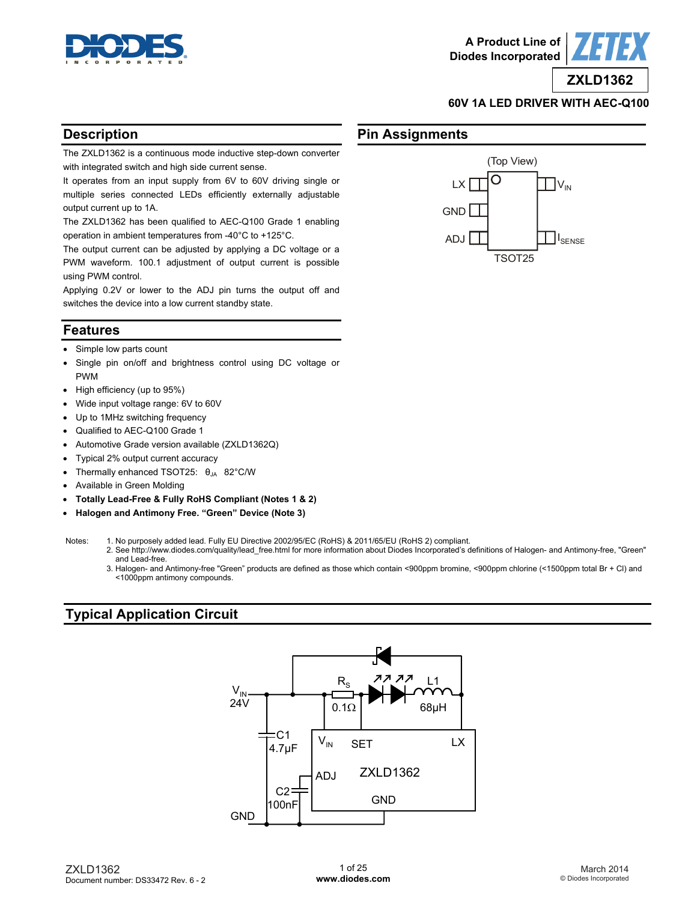

(Top View)



**ZXLD1362**

#### **60V 1A LED DRIVER WITH AEC-Q100**

I<sub>SENSE</sub>

## **Description**

The ZXLD1362 is a continuous mode inductive step-down converter with integrated switch and high side current sense.

It operates from an input supply from 6V to 60V driving single or multiple series connected LEDs efficiently externally adjustable output current up to 1A.

The ZXLD1362 has been qualified to AEC-Q100 Grade 1 enabling operation in ambient temperatures from -40°C to +125°C.

The output current can be adjusted by applying a DC voltage or a PWM waveform. 100.1 adjustment of output current is possible using PWM control.

Applying 0.2V or lower to the ADJ pin turns the output off and switches the device into a low current standby state.

## **Features**

- Simple low parts count
- Single pin on/off and brightness control using DC voltage or PWM
- High efficiency (up to 95%)
- Wide input voltage range: 6V to 60V
- Up to 1MHz switching frequency
- Qualified to AEC-Q100 Grade 1
- Automotive Grade version available (ZXLD1362Q)
- Typical 2% output current accuracy
- Thermally enhanced TSOT25:  $\theta_{JA}$  82°C/W
- Available in Green Molding
- **Totally Lead-Free & Fully RoHS Compliant (Notes 1 & 2)**
- **Halogen and Antimony Free. "Green" Device (Note 3)**

Notes: 1. No purposely added lead. Fully EU Directive 2002/95/EC (RoHS) & 2011/65/EU (RoHS 2) compliant.

- 2. See [http://www.diodes.com/quality/lead\\_free.html fo](http://www.diodes.com/quality/lead_free.html)r more information about Diodes Incorporated's definitions of Halogen- and Antimony-free, "Green" and Lead-free.
- 3. Halogen- and Antimony-free "Green" products are defined as those which contain <900ppm bromine, <900ppm chlorine (<1500ppm total Br + Cl) and <1000ppm antimony compounds.

## **Typical Application Circuit**



O LX<sup>[</sup>  $|V_{N}|$ GND ADJ TSOT25

**Pin Assignments**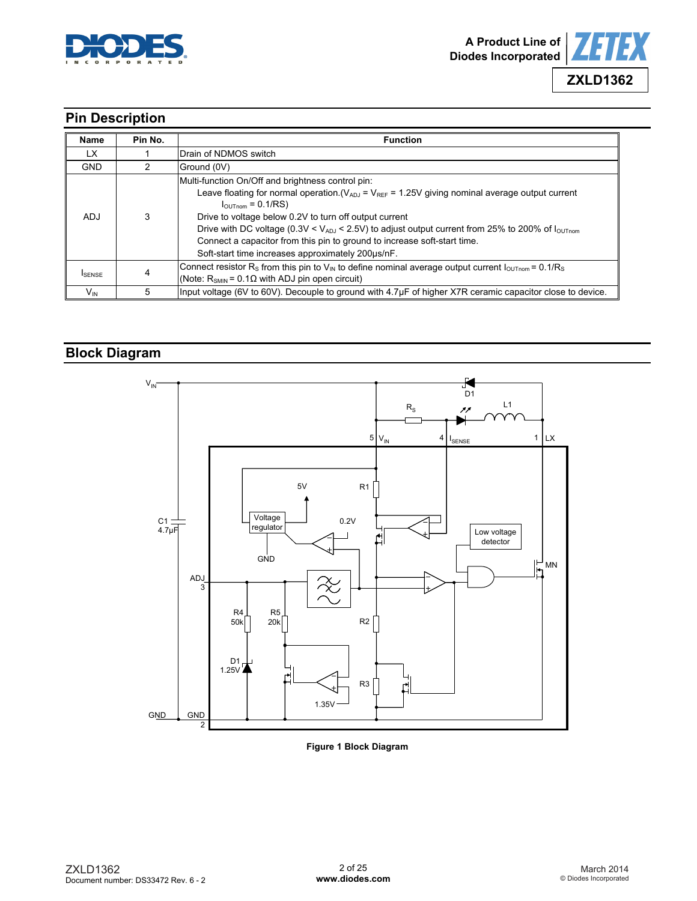



# **Pin Description**

| <b>Name</b>     | Pin No. | <b>Function</b>                                                                                                                                                                                                                                                                                                                                                                                                                                                                                      |  |  |
|-----------------|---------|------------------------------------------------------------------------------------------------------------------------------------------------------------------------------------------------------------------------------------------------------------------------------------------------------------------------------------------------------------------------------------------------------------------------------------------------------------------------------------------------------|--|--|
| LX.             |         | Drain of NDMOS switch                                                                                                                                                                                                                                                                                                                                                                                                                                                                                |  |  |
| <b>GND</b>      |         | Ground (0V)                                                                                                                                                                                                                                                                                                                                                                                                                                                                                          |  |  |
| ADJ             | 3       | Multi-function On/Off and brightness control pin:<br>Leave floating for normal operation. $(V_{ADJ} = V_{REF} = 1.25V$ giving nominal average output current<br>$I_{\text{OUTnom}} = 0.1/RS$<br>Drive to voltage below 0.2V to turn off output current<br>Drive with DC voltage (0.3V < $V_{ADJ}$ < 2.5V) to adjust output current from 25% to 200% of $I_{OUTnom}$<br>Connect a capacitor from this pin to ground to increase soft-start time.<br>Soft-start time increases approximately 200us/nF. |  |  |
| <b>I</b> SENSE  |         | Connect resistor R <sub>S</sub> from this pin to V <sub>IN</sub> to define nominal average output current $I_{\text{OUTnom}} = 0.1/R_s$<br>(Note: $R_{SMIN} = 0.1 \Omega$ with ADJ pin open circuit)                                                                                                                                                                                                                                                                                                 |  |  |
| $V_{\text{IN}}$ | 5       | Input voltage (6V to 60V). Decouple to ground with 4.7µF of higher X7R ceramic capacitor close to device.                                                                                                                                                                                                                                                                                                                                                                                            |  |  |

# **Block Diagram**



**Figure 1 Block Diagram**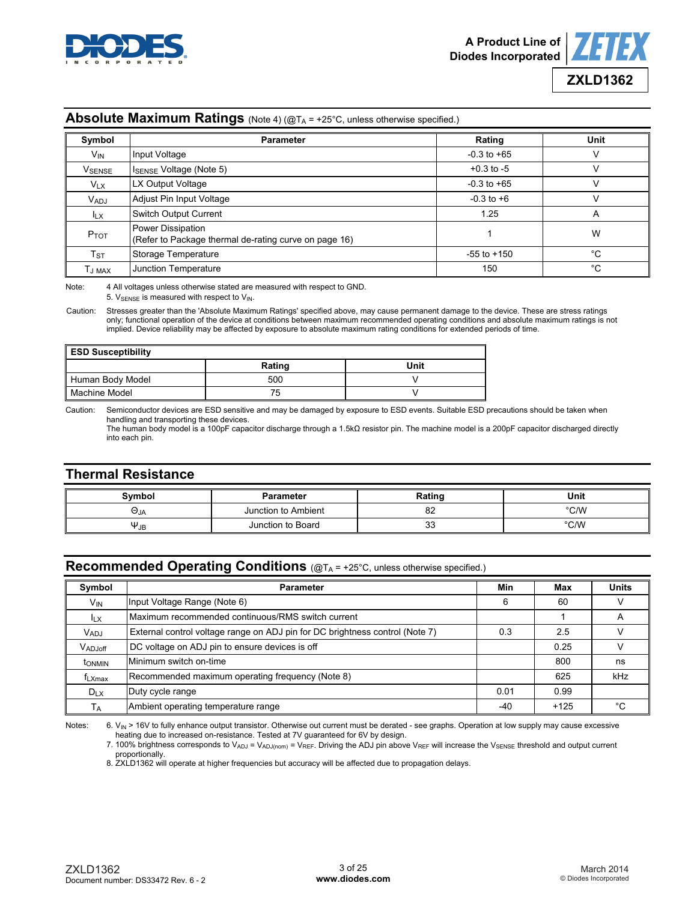



#### **Absolute Maximum Ratings** (Note 4) (@TA = +25°C, unless otherwise specified.)

| Symbol                   | <b>Parameter</b>                                                           | Rating          | Unit |
|--------------------------|----------------------------------------------------------------------------|-----------------|------|
| $V_{IN}$                 | Input Voltage                                                              | $-0.3$ to $+65$ | v    |
| <b>V</b> SENSE           | $I_{\text{SENSE}}$ Voltage (Note 5)                                        | $+0.3$ to $-5$  | v    |
| $V_{LX}$                 | LX Output Voltage                                                          | $-0.3$ to $+65$ | v    |
| <b>V<sub>ADJ</sub></b>   | Adjust Pin Input Voltage                                                   | $-0.3$ to $+6$  | v    |
| $I_{LX}$                 | <b>Switch Output Current</b>                                               | 1.25            | A    |
| $P_{TOT}$                | Power Dissipation<br>(Refer to Package thermal de-rating curve on page 16) |                 | W    |
| $\mathsf{T}_{\text{ST}}$ | Storage Temperature                                                        | $-55$ to $+150$ | °C   |
| Tj max                   | Junction Temperature                                                       | 150             | °C   |

Note: 4 All voltages unless otherwise stated are measured with respect to GND. 5.  $V_{\text{SENSE}}$  is measured with respect to  $V_{\text{IN}}$ .

Caution: Stresses greater than the 'Absolute Maximum Ratings' specified above, may cause permanent damage to the device. These are stress ratings only; functional operation of the device at conditions between maximum recommended operating conditions and absolute maximum ratings is not implied. Device reliability may be affected by exposure to absolute maximum rating conditions for extended periods of time.

| <b>ESD Susceptibility</b> |        |      |  |  |  |
|---------------------------|--------|------|--|--|--|
|                           | Rating | Unit |  |  |  |
| Human Body Model          | 500    |      |  |  |  |
| Machine Model             | 75     |      |  |  |  |

Caution: Semiconductor devices are ESD sensitive and may be damaged by exposure to ESD events. Suitable ESD precautions should be taken when handling and transporting these devices.

 The human body model is a 100pF capacitor discharge through a 1.5kΩ resistor pin. The machine model is a 200pF capacitor discharged directly into each pin.

## **Thermal Resistance**

| <b>Symbol</b> | <b>Parameter</b>    | Rating  | <b>Unit</b>   |
|---------------|---------------------|---------|---------------|
| ∪ja           | Junction to Ambient | 82      | $\degree$ C/W |
| $\Psi_{JB}$   | Junction to Board   | າ<br>ഄഄ | °C/W          |

## **Recommended Operating Conditions** (@TA = +25°C, unless otherwise specified.)

| Symbol                | <b>Parameter</b>                                                             | Min   | Max    | <b>Units</b> |
|-----------------------|------------------------------------------------------------------------------|-------|--------|--------------|
| V <sub>IN</sub>       | Input Voltage Range (Note 6)                                                 | 6     | 60     |              |
| <b>ILX</b>            | Maximum recommended continuous/RMS switch current                            |       |        | A            |
| <b>VADJ</b>           | External control voltage range on ADJ pin for DC brightness control (Note 7) | 0.3   | 2.5    |              |
| VADJoff               | DC voltage on ADJ pin to ensure devices is off                               |       | 0.25   |              |
| <b>t</b> ONMIN        | Minimum switch on-time                                                       |       | 800    | ns           |
| f <sub>LXmax</sub>    | Recommended maximum operating frequency (Note 8)                             |       | 625    | kHz          |
| $D_{LX}$              | Duty cycle range                                                             |       | 0.99   |              |
| <b>T</b> <sub>A</sub> | Ambient operating temperature range                                          | $-40$ | $+125$ | °€           |

Notes: 6. V<sub>IN</sub> > 16V to fully enhance output transistor. Otherwise out current must be derated - see graphs. Operation at low supply may cause excessive heating due to increased on-resistance. Tested at 7V guaranteed for 6V by design.

7. 100% brightness corresponds to V<sub>ADJ</sub> = V<sub>ADJ(nom)</sub> = V<sub>REF</sub>. Driving the ADJ pin above V<sub>REF</sub> will increase the V<sub>SENSE</sub> threshold and output current

proportionally. 8. ZXLD1362 will operate at higher frequencies but accuracy will be affected due to propagation delays.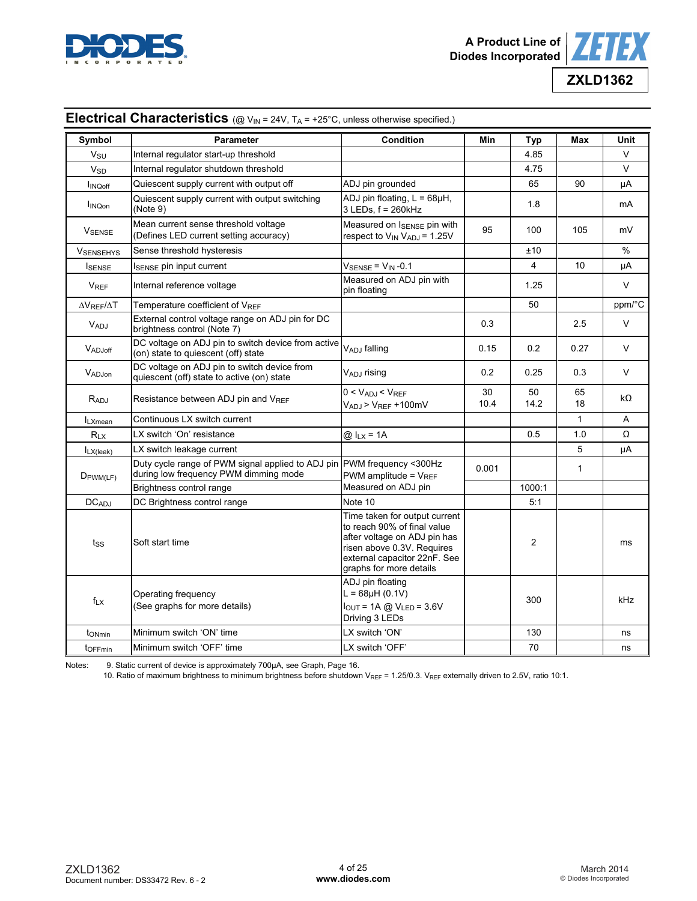



**ZXLD1362**

| Symbol                     | <b>Parameter</b>                                                                                                                                               | <b>Condition</b>                                                                                                                                                                      | Min        | Typ            | Max          | Unit         |
|----------------------------|----------------------------------------------------------------------------------------------------------------------------------------------------------------|---------------------------------------------------------------------------------------------------------------------------------------------------------------------------------------|------------|----------------|--------------|--------------|
| $V_{\rm SU}$               | Internal regulator start-up threshold                                                                                                                          |                                                                                                                                                                                       |            | 4.85           |              | $\vee$       |
| <b>V<sub>SD</sub></b>      | Internal regulator shutdown threshold                                                                                                                          |                                                                                                                                                                                       |            | 4.75           |              | $\vee$       |
| <b>INQoff</b>              | Quiescent supply current with output off                                                                                                                       | ADJ pin grounded                                                                                                                                                                      |            | 65             | 90           | μA           |
| <b>INQon</b>               | Quiescent supply current with output switching<br>(Note 9)                                                                                                     | ADJ pin floating, $L = 68\mu H$ ,<br>3 LEDs, f = 260kHz                                                                                                                               |            | 1.8            |              | mA           |
| VSENSE                     | Mean current sense threshold voltage<br>(Defines LED current setting accuracy)                                                                                 | Measured on ISENSE pin with<br>respect to V <sub>IN</sub> V <sub>ADJ</sub> = 1.25V                                                                                                    | 95         | 100            | 105          | mV           |
| <b>VSENSEHYS</b>           | Sense threshold hysteresis                                                                                                                                     |                                                                                                                                                                                       |            | ±10            |              | $\%$         |
| <b>I</b> SENSE             | I <sub>SENSE</sub> pin input current                                                                                                                           | $V_{\text{SENSE}} = V_{\text{IN}} -0.1$                                                                                                                                               |            | 4              | 10           | μA           |
| $V_{REF}$                  | Internal reference voltage                                                                                                                                     | Measured on ADJ pin with<br>pin floating                                                                                                                                              |            | 1.25           |              | $\vee$       |
| $\Delta V$ REF $/\Delta T$ | Temperature coefficient of V <sub>REF</sub>                                                                                                                    |                                                                                                                                                                                       |            | 50             |              | ppm/°C       |
| VADJ                       | External control voltage range on ADJ pin for DC<br>brightness control (Note 7)                                                                                |                                                                                                                                                                                       | 0.3        |                | 2.5          | $\mathsf{V}$ |
| VADJoff                    | DC voltage on ADJ pin to switch device from active<br>VADJ falling<br>(on) state to quiescent (off) state                                                      |                                                                                                                                                                                       | 0.15       | 0.2            | 0.27         | $\vee$       |
| VADJon                     | DC voltage on ADJ pin to switch device from<br>quiescent (off) state to active (on) state                                                                      | V <sub>ADJ</sub> rising                                                                                                                                                               | 0.2        | 0.25           | 0.3          | V            |
| $R_{ADJ}$                  | Resistance between ADJ pin and VREF                                                                                                                            | $0 < V_{ADJ} < V_{REF}$<br>$V_{ADJ}$ > $V_{REF}$ +100mV                                                                                                                               | 30<br>10.4 | 50<br>14.2     | 65<br>18     | kΩ           |
| <b>ILXmean</b>             | Continuous LX switch current                                                                                                                                   |                                                                                                                                                                                       |            |                | 1            | A            |
| $R_{LX}$                   | LX switch 'On' resistance                                                                                                                                      | $@ILX = 1A$                                                                                                                                                                           |            | 0.5            | 1.0          | Ω            |
| $I_{LX(leak)}$             | LX switch leakage current                                                                                                                                      |                                                                                                                                                                                       |            |                | 5            | μA           |
| DPWM(LF)                   | Duty cycle range of PWM signal applied to ADJ pin PWM frequency <300Hz<br>during low frequency PWM dimming mode                                                | PWM amplitude = $V_{REF}$                                                                                                                                                             | 0.001      |                | $\mathbf{1}$ |              |
|                            | Brightness control range                                                                                                                                       | Measured on ADJ pin                                                                                                                                                                   |            | 1000:1         |              |              |
| <b>DCADJ</b>               | DC Brightness control range                                                                                                                                    | Note 10                                                                                                                                                                               |            | 5:1            |              |              |
| tss                        | Soft start time                                                                                                                                                | Time taken for output current<br>to reach 90% of final value<br>after voltage on ADJ pin has<br>risen above 0.3V. Requires<br>external capacitor 22nF. See<br>graphs for more details |            | $\overline{c}$ |              | ms           |
| $f_{LX}$                   | ADJ pin floating<br>$L = 68\mu H (0.1V)$<br>Operating frequency<br>(See graphs for more details)<br>$I_{OUT} = 1A \text{ @ } V_{LED} = 3.6V$<br>Driving 3 LEDs |                                                                                                                                                                                       |            | 300            |              | kHz          |
| tonmin                     | Minimum switch 'ON' time                                                                                                                                       | LX switch 'ON'                                                                                                                                                                        |            | 130            |              | ns           |
| toFFmin                    | Minimum switch 'OFF' time                                                                                                                                      | LX switch 'OFF'                                                                                                                                                                       |            | 70             |              | ns           |

## **Electrical Characteristics** (@ V<sub>IN</sub> = 24V, T<sub>A</sub> = +25°C, unless otherwise specified.)

Notes: 9. Static current of device is approximately 700µA, see Graph, Page 16.

10. Ratio of maximum brightness to minimum brightness before shutdown V<sub>REF</sub> = 1.25/0.3. V<sub>REF</sub> externally driven to 2.5V, ratio 10:1.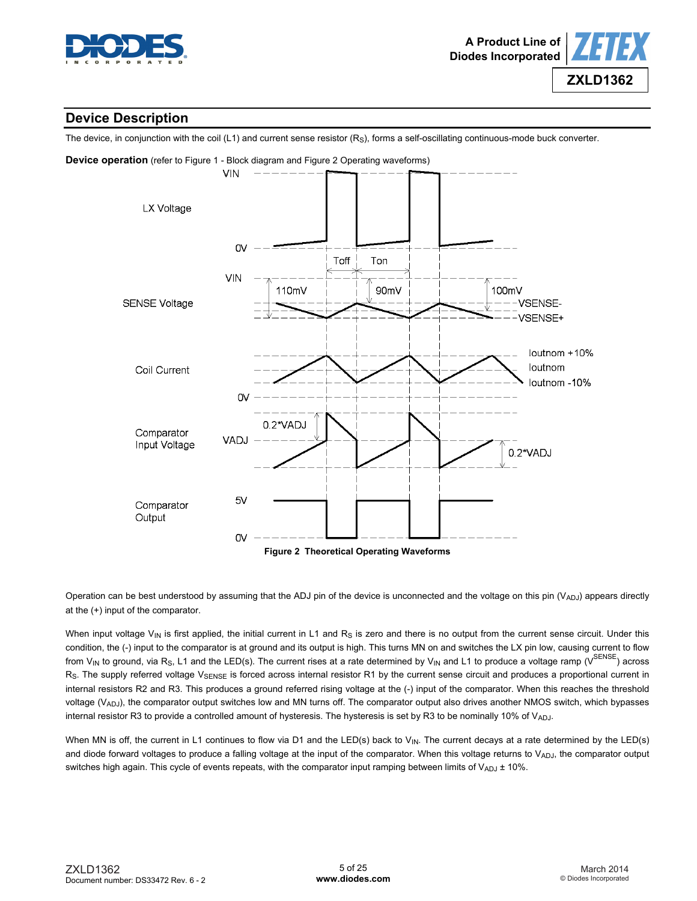



## **Device Description**

The device, in conjunction with the coil  $(L1)$  and current sense resistor  $(R<sub>S</sub>)$ , forms a self-oscillating continuous-mode buck converter.



Operation can be best understood by assuming that the ADJ pin of the device is unconnected and the voltage on this pin  $(V_{ADJ})$  appears directly at the (+) input of the comparator.

When input voltage  $V_{\text{IN}}$  is first applied, the initial current in L1 and R<sub>S</sub> is zero and there is no output from the current sense circuit. Under this condition, the (-) input to the comparator is at ground and its output is high. This turns MN on and switches the LX pin low, causing current to flow from V<sub>IN</sub> to ground, via R<sub>S</sub>, L1 and the LED(s). The current rises at a rate determined by V<sub>IN</sub> and L1 to produce a voltage ramp (V<sup>SENSE</sup>) across Rs. The supply referred voltage VSENSE is forced across internal resistor R1 by the current sense circuit and produces a proportional current in internal resistors R2 and R3. This produces a ground referred rising voltage at the (-) input of the comparator. When this reaches the threshold voltage (V<sub>ADJ</sub>), the comparator output switches low and MN turns off. The comparator output also drives another NMOS switch, which bypasses internal resistor R3 to provide a controlled amount of hysteresis. The hysteresis is set by R3 to be nominally 10% of VADJ.

When MN is off, the current in L1 continues to flow via D1 and the LED(s) back to  $V_{\text{IN}}$ . The current decays at a rate determined by the LED(s) and diode forward voltages to produce a falling voltage at the input of the comparator. When this voltage returns to  $V_{ADJ}$ , the comparator output switches high again. This cycle of events repeats, with the comparator input ramping between limits of  $V_{ADJ}$   $\pm$  10%.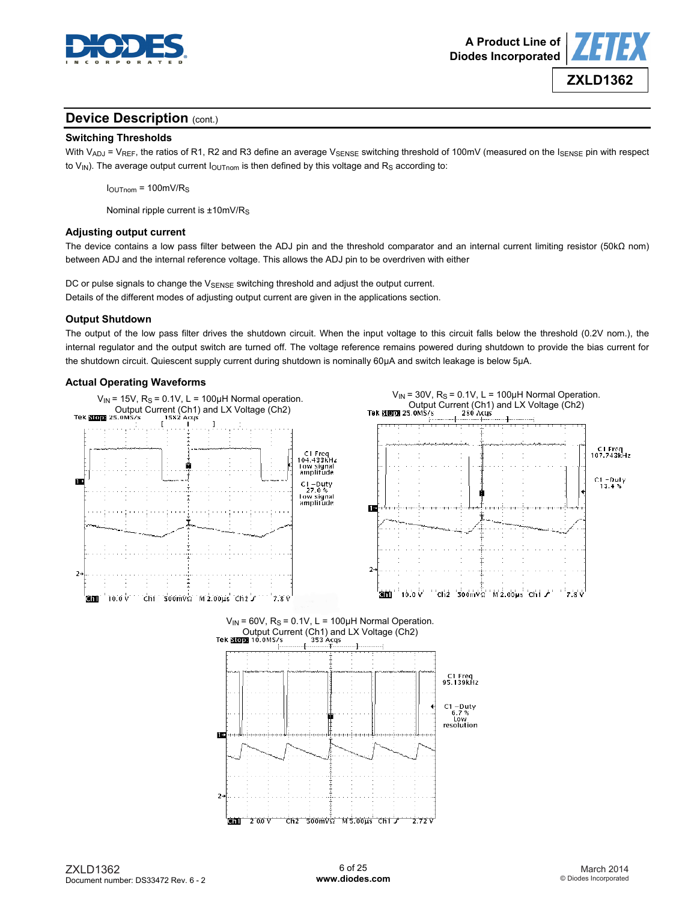



## **Device Description (cont.)**

#### **Switching Thresholds**

With V<sub>ADJ</sub> = V<sub>REF</sub>, the ratios of R1, R2 and R3 define an average V<sub>SENSE</sub> switching threshold of 100mV (measured on the I<sub>SENSE</sub> pin with respect to  $V_{\text{IN}}$ ). The average output current  $I_{\text{OUTnom}}$  is then defined by this voltage and R<sub>S</sub> according to:

 $I<sub>OUTnom</sub> = 100mV/R<sub>S</sub>$ 

Nominal ripple current is ±10mV/R<sub>S</sub>

#### **Adjusting output current**

The device contains a low pass filter between the ADJ pin and the threshold comparator and an internal current limiting resistor (50kΩ nom) between ADJ and the internal reference voltage. This allows the ADJ pin to be overdriven with either

DC or pulse signals to change the V<sub>SENSE</sub> switching threshold and adjust the output current. Details of the different modes of adjusting output current are given in the applications section.

#### **Output Shutdown**

The output of the low pass filter drives the shutdown circuit. When the input voltage to this circuit falls below the threshold (0.2V nom.), the internal regulator and the output switch are turned off. The voltage reference remains powered during shutdown to provide the bias current for the shutdown circuit. Quiescent supply current during shutdown is nominally 60μA and switch leakage is below 5μA.

#### **Actual Operating Waveforms**

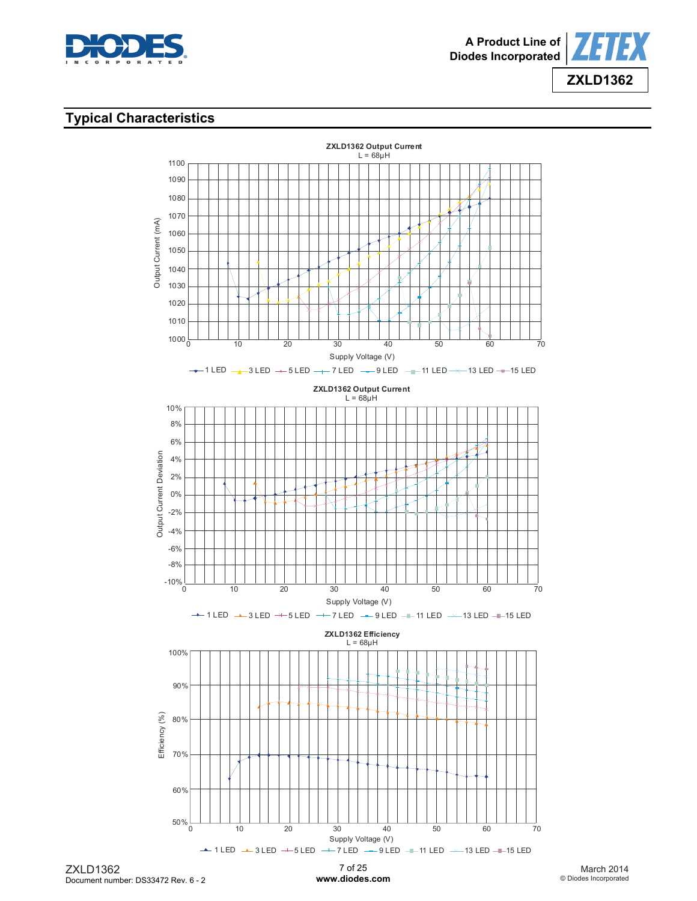



## **Typical Characteristics**



7 of 25 **[www.diodes.com](http://www.diodes.com)**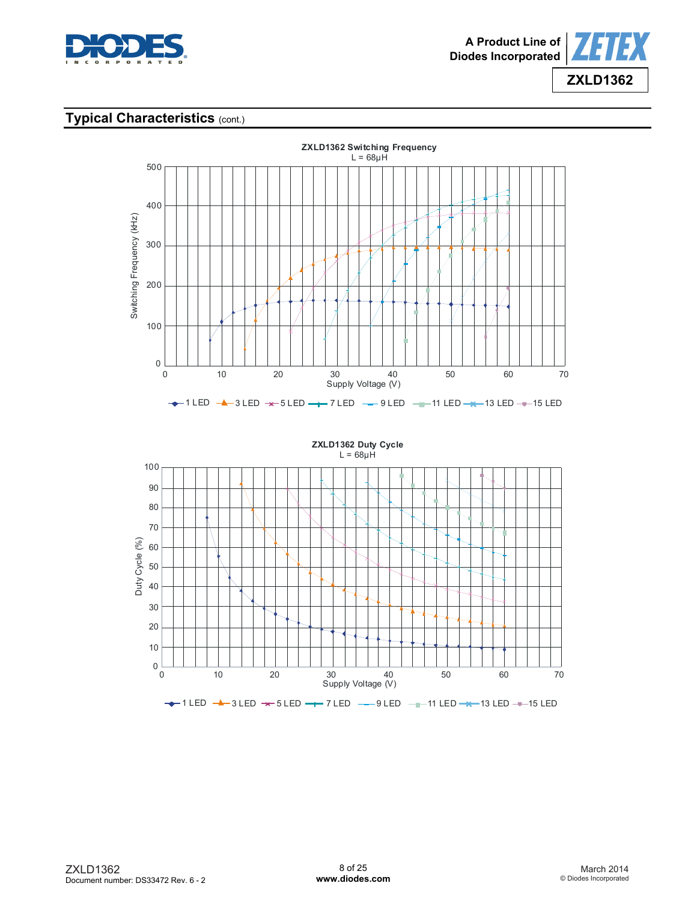





**ZXLD1362 Duty Cycle**  $L = 68 \mu H$ 100 90 80 70 Duty Cycle (%) Duty Cycle (%)60 50 40 30 20 10  $0\frac{L}{0}$ 0 10 20 30 40 50 60 70 Supply Voltage (V)  $-$  1 LED  $-$  3 LED  $+$  5 LED  $-$  7 LED  $-$  9 LED  $-$  11 LED  $-$  13 LED  $-$  15 LED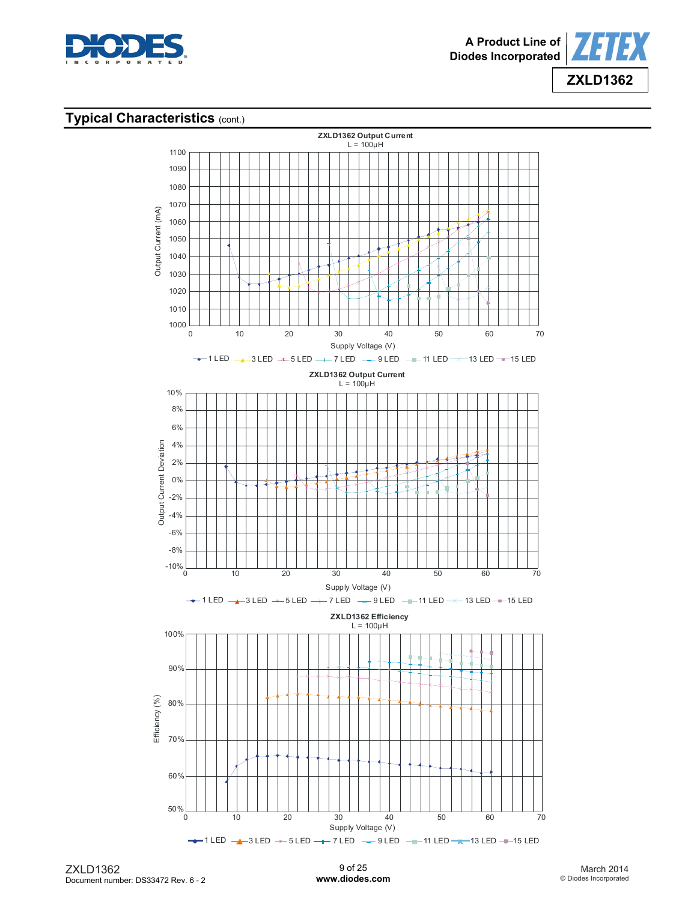



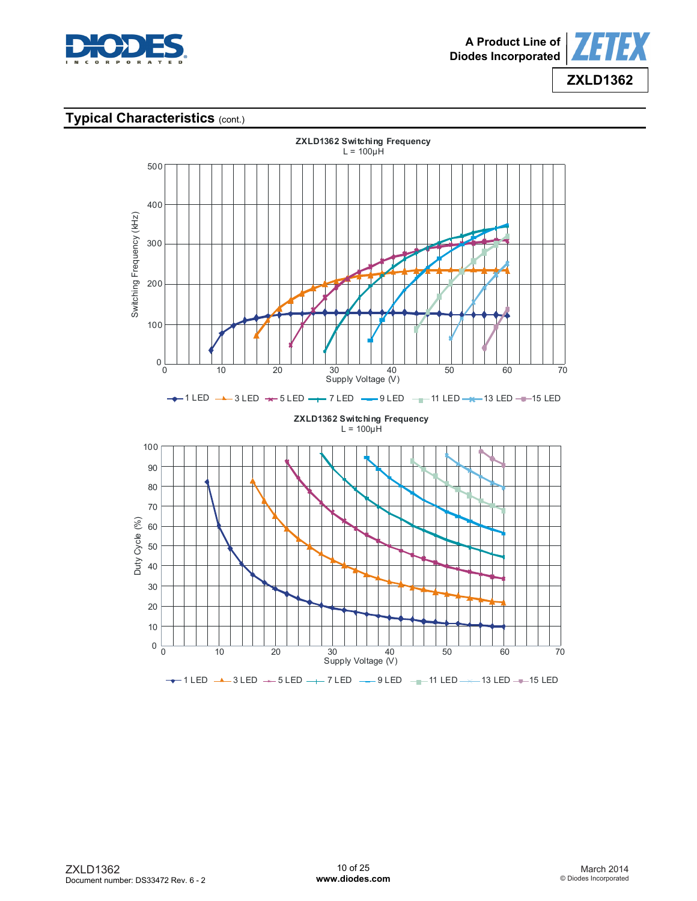



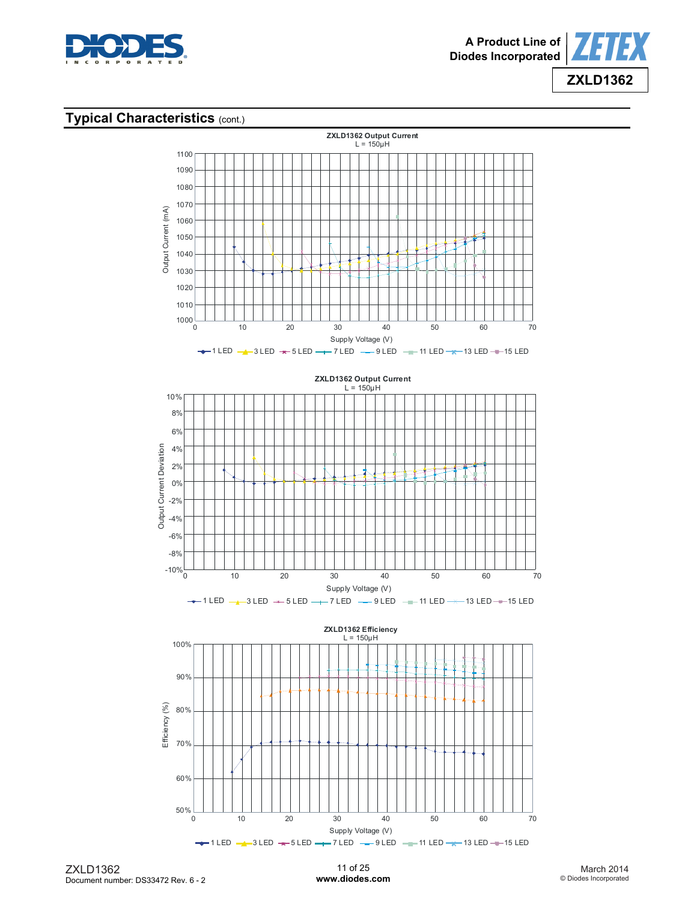



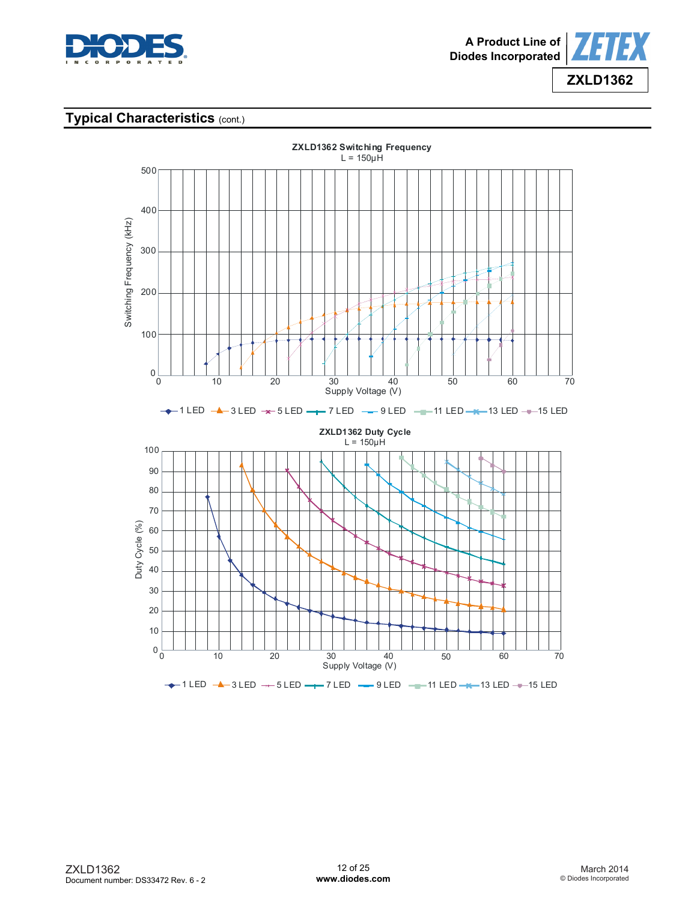



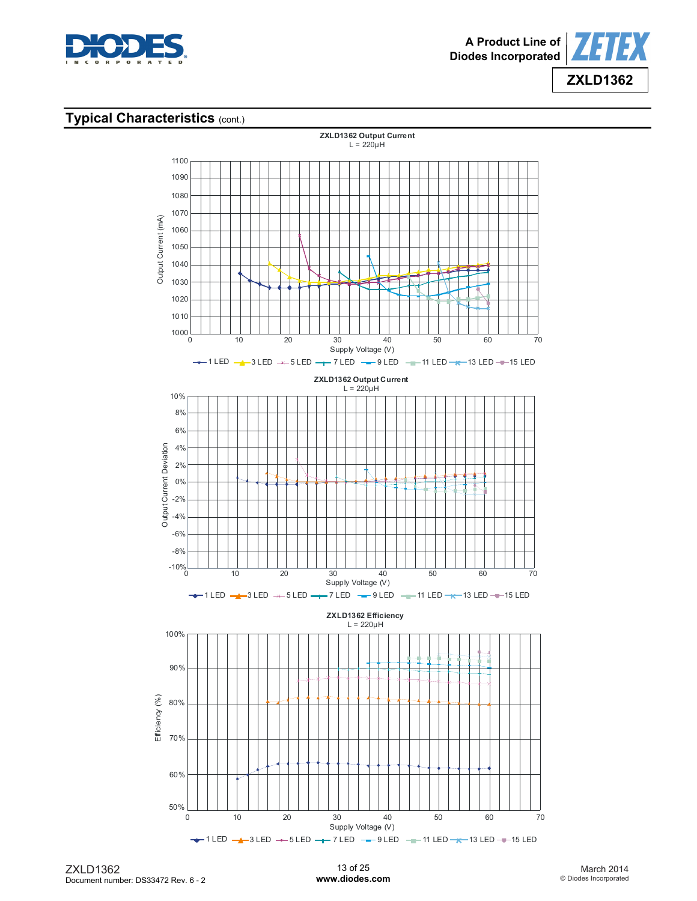



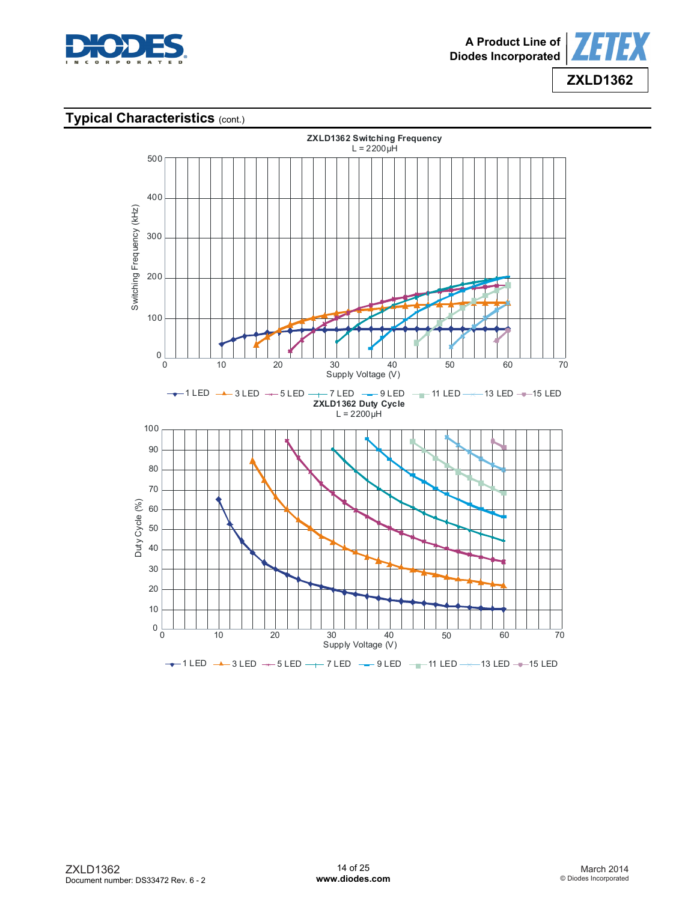



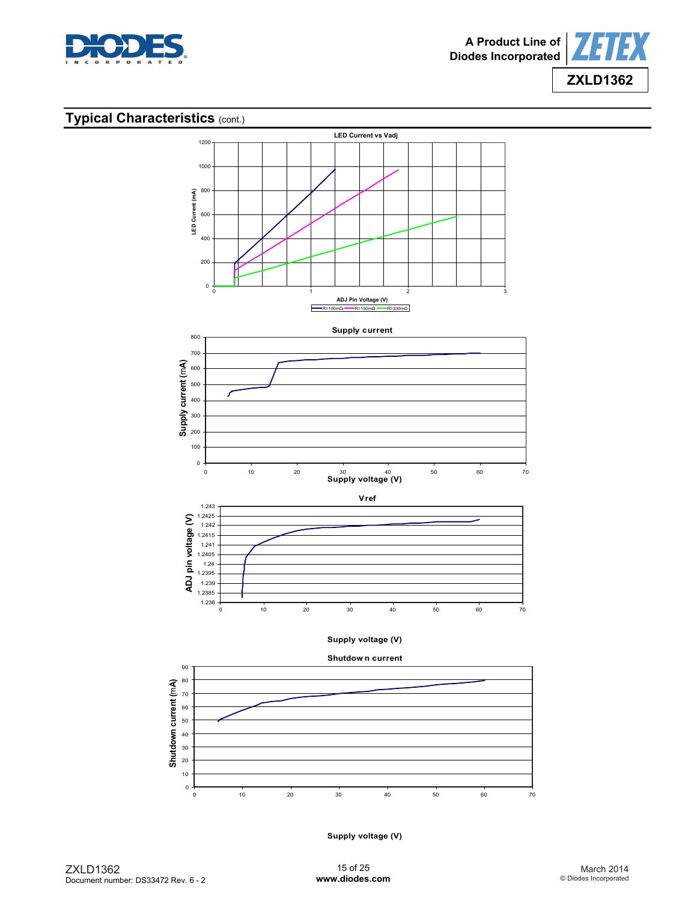







**Supply voltage (V)**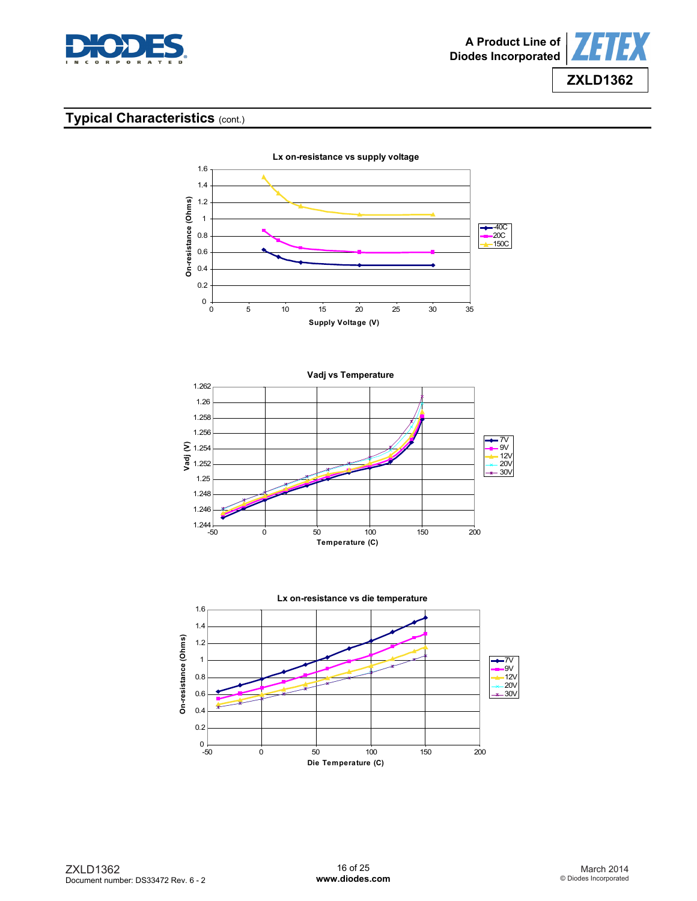







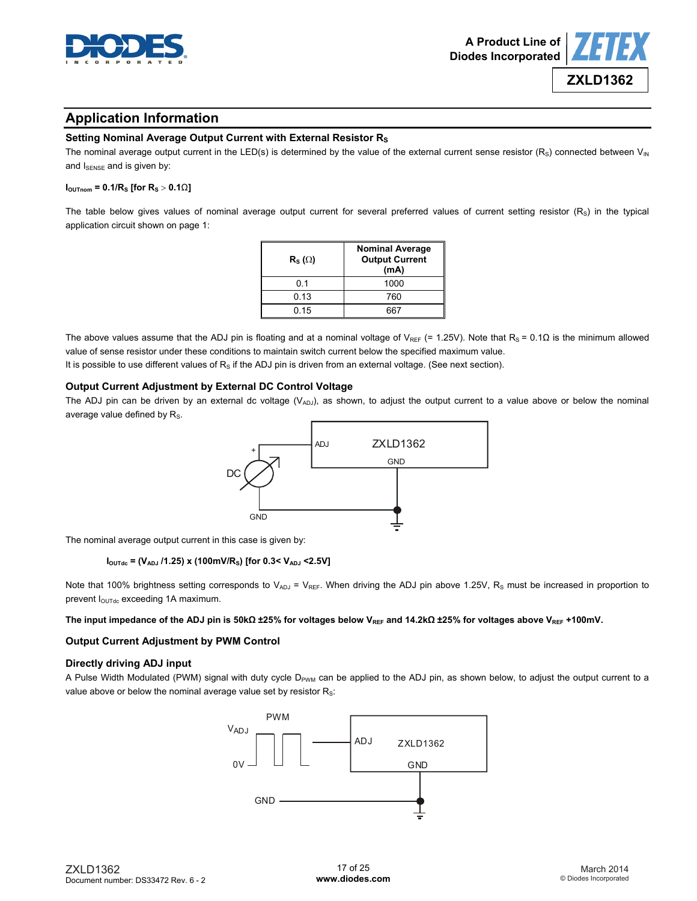



**ZXLD1362**

## **Application Information**

#### **Setting Nominal Average Output Current with External Resistor Rs**

The nominal average output current in the LED(s) is determined by the value of the external current sense resistor  $(R<sub>S</sub>)$  connected between  $V<sub>IN</sub>$ and ISENSE and is given by:

#### **I**<sub>OUTnom</sub> = 0.1/R<sub>S</sub> [for R<sub>S</sub> > 0.1Ω**]**

The table below gives values of nominal average output current for several preferred values of current setting resistor  $(R<sub>S</sub>)$  in the typical application circuit shown on page 1:

| $\mathsf{R}_{\mathsf{S}}\left(\Omega\right)$ | <b>Nominal Average</b><br><b>Output Current</b><br>(mA) |  |
|----------------------------------------------|---------------------------------------------------------|--|
| 01                                           | 1000                                                    |  |
| 0.13                                         | 760                                                     |  |
| 0.15                                         |                                                         |  |

The above values assume that the ADJ pin is floating and at a nominal voltage of V<sub>REF</sub> (= 1.25V). Note that R<sub>S</sub> = 0.1 $\Omega$  is the minimum allowed value of sense resistor under these conditions to maintain switch current below the specified maximum value.

It is possible to use different values of  $R_s$  if the ADJ pin is driven from an external voltage. (See next section).

#### **Output Current Adjustment by External DC Control Voltage**

The ADJ pin can be driven by an external dc voltage  $(V_{ADJ})$ , as shown, to adjust the output current to a value above or below the nominal average value defined by  $R_s$ .



The nominal average output current in this case is given by:

#### **IOUTdc = (VADJ /1.25) x (100mV/RS) [for 0.3< VADJ <2.5V]**

Note that 100% brightness setting corresponds to  $V_{ADJ} = V_{REF}$ . When driving the ADJ pin above 1.25V, R<sub>S</sub> must be increased in proportion to prevent I<sub>OUTdc</sub> exceeding 1A maximum.

#### The input impedance of the ADJ pin is 50kΩ ±25% for voltages below V<sub>REF</sub> and 14.2kΩ ±25% for voltages above V<sub>REF</sub> +100mV.

#### **Output Current Adjustment by PWM Control**

#### **Directly driving ADJ input**

A Pulse Width Modulated (PWM) signal with duty cycle D<sub>PWM</sub> can be applied to the ADJ pin, as shown below, to adjust the output current to a value above or below the nominal average value set by resistor  $R_s$ :

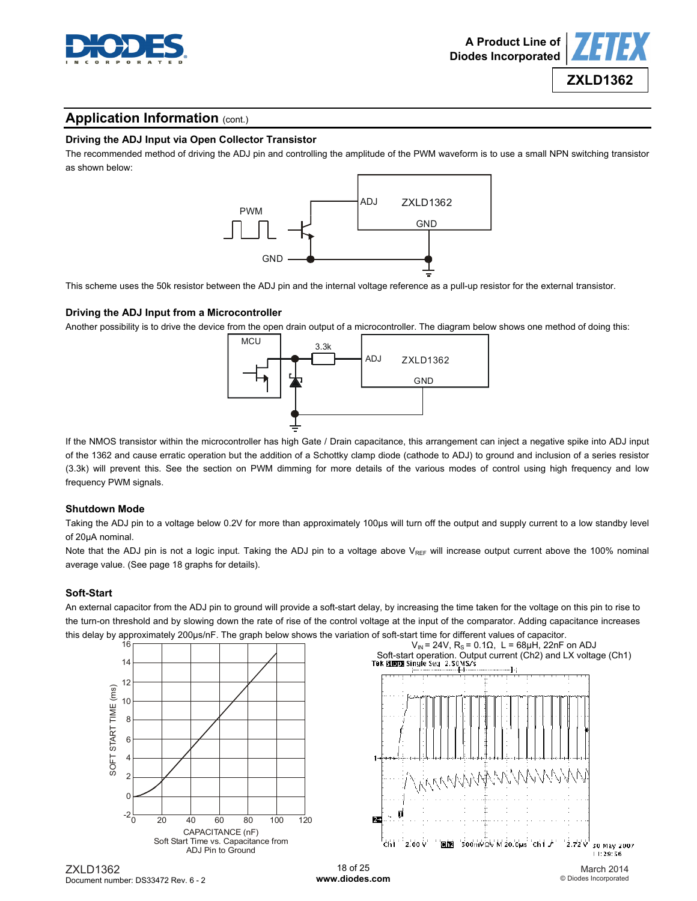



#### **Driving the ADJ Input via Open Collector Transistor**

The recommended method of driving the ADJ pin and controlling the amplitude of the PWM waveform is to use a small NPN switching transistor as shown below:



This scheme uses the 50k resistor between the ADJ pin and the internal voltage reference as a pull-up resistor for the external transistor.

#### **Driving the ADJ Input from a Microcontroller**

Another possibility is to drive the device from the open drain output of a microcontroller. The diagram below shows one method of doing this:



If the NMOS transistor within the microcontroller has high Gate / Drain capacitance, this arrangement can inject a negative spike into ADJ input of the 1362 and cause erratic operation but the addition of a Schottky clamp diode (cathode to ADJ) to ground and inclusion of a series resistor (3.3k) will prevent this. See the section on PWM dimming for more details of the various modes of control using high frequency and low frequency PWM signals.

#### **Shutdown Mode**

Taking the ADJ pin to a voltage below 0.2V for more than approximately 100µs will turn off the output and supply current to a low standby level of 20µA nominal.

Note that the ADJ pin is not a logic input. Taking the ADJ pin to a voltage above VREF will increase output current above the 100% nominal average value. (See page 18 graphs for details).

#### **Soft-Start**

An external capacitor from the ADJ pin to ground will provide a soft-start delay, by increasing the time taken for the voltage on this pin to rise to the turn-on threshold and by slowing down the rate of rise of the control voltage at the input of the comparator. Adding capacitance increases this delay by approximately 200µs/nF. The graph below shows the variation of soft-start time for different values of capacitor.



March 2014 © Diodes Incorporated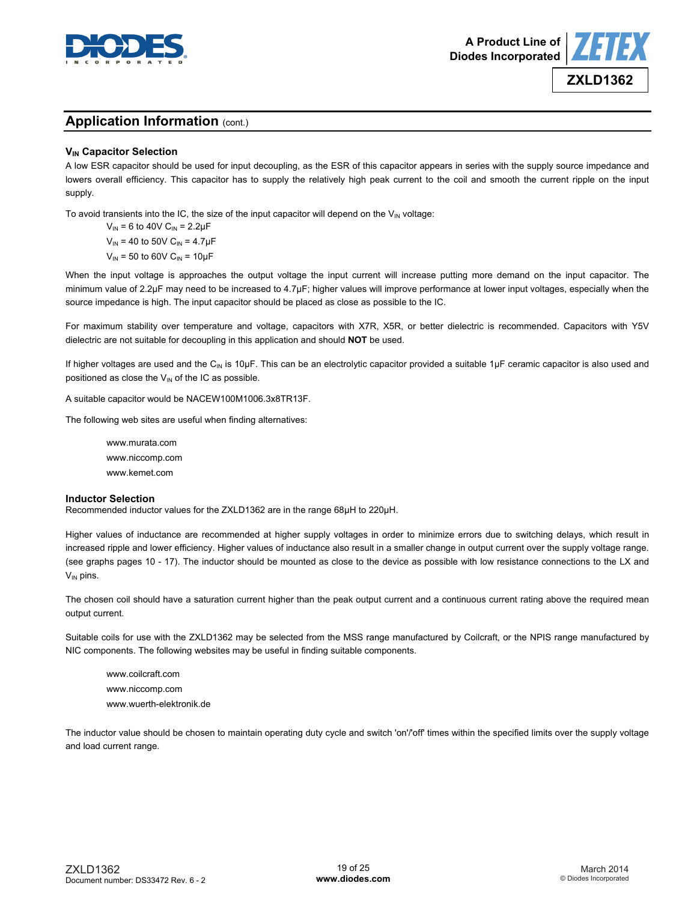



#### **VIN Capacitor Selection**

A low ESR capacitor should be used for input decoupling, as the ESR of this capacitor appears in series with the supply source impedance and lowers overall efficiency. This capacitor has to supply the relatively high peak current to the coil and smooth the current ripple on the input supply.

To avoid transients into the IC, the size of the input capacitor will depend on the  $V_{\text{IN}}$  voltage:

 $V_{IN}$  = 6 to 40V C<sub>IN</sub> = 2.2µF  $V_{\text{IN}}$  = 40 to 50V C<sub>IN</sub> = 4.7µF  $V_{IN}$  = 50 to 60V C<sub>IN</sub> = 10µF

When the input voltage is approaches the output voltage the input current will increase putting more demand on the input capacitor. The minimum value of 2.2μF may need to be increased to 4.7μF; higher values will improve performance at lower input voltages, especially when the source impedance is high. The input capacitor should be placed as close as possible to the IC.

For maximum stability over temperature and voltage, capacitors with X7R, X5R, or better dielectric is recommended. Capacitors with Y5V dielectric are not suitable for decoupling in this application and should **NOT** be used.

If higher voltages are used and the C<sub>IN</sub> is 10µF. This can be an electrolytic capacitor provided a suitable 1µF ceramic capacitor is also used and positioned as close the  $V_{\text{IN}}$  of the IC as possible.

A suitable capacitor would be NACEW100M1006.3x8TR13F.

The following web sites are useful when finding alternatives:

[www.murata.com](http://www.murata.com)  [www.niccomp.com](http://www.niccomp.com)  [www.kemet.com](http://www.kemet.com) 

#### **Inductor Selection**

Recommended inductor values for the ZXLD1362 are in the range 68μH to 220μH.

Higher values of inductance are recommended at higher supply voltages in order to minimize errors due to switching delays, which result in increased ripple and lower efficiency. Higher values of inductance also result in a smaller change in output current over the supply voltage range. (see graphs pages 10 - 17). The inductor should be mounted as close to the device as possible with low resistance connections to the LX and  $V_{IN}$  pins.

The chosen coil should have a saturation current higher than the peak output current and a continuous current rating above the required mean output current.

Suitable coils for use with the ZXLD1362 may be selected from the MSS range manufactured by Coilcraft, or the NPIS range manufactured by NIC components. The following websites may be useful in finding suitable components.

[www.coilcraft.com](http://www.coilcraft.com)  [www.niccomp.com](http://www.niccomp.com)  [www.wuerth-elektronik.de](http://www.wuerth-elektronik.de) 

The inductor value should be chosen to maintain operating duty cycle and switch 'on'/'off' times within the specified limits over the supply voltage and load current range.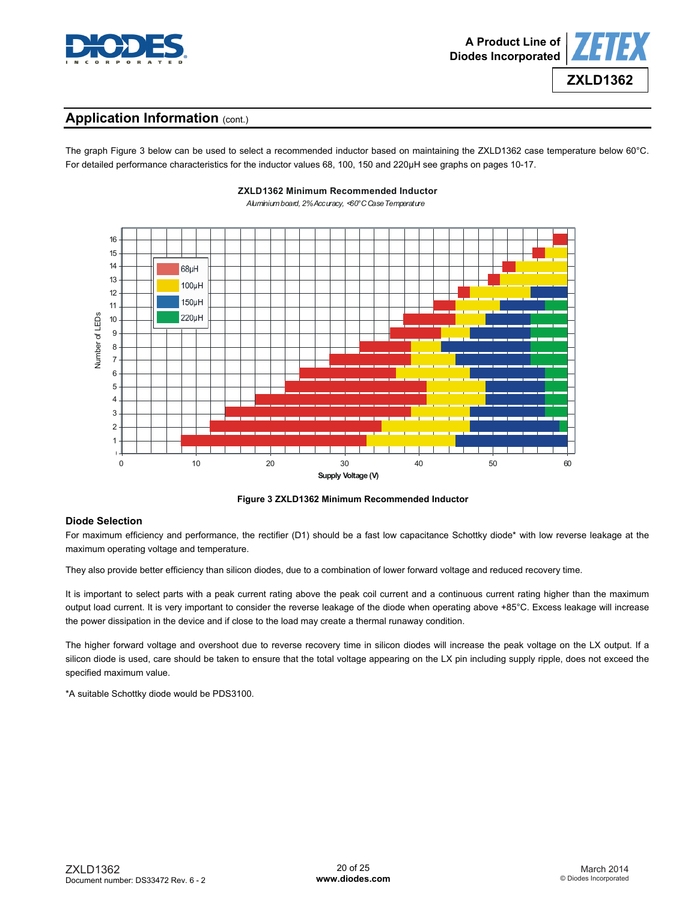



The graph Figure 3 below can be used to select a recommended inductor based on maintaining the ZXLD1362 case temperature below 60°C. For detailed performance characteristics for the inductor values 68, 100, 150 and 220μH see graphs on pages 10-17.



**ZXLD1362 Minimum Recommended Inductor**

**Figure 3 ZXLD1362 Minimum Recommended Inductor** 

#### **Diode Selection**

For maximum efficiency and performance, the rectifier (D1) should be a fast low capacitance Schottky diode\* with low reverse leakage at the maximum operating voltage and temperature.

They also provide better efficiency than silicon diodes, due to a combination of lower forward voltage and reduced recovery time.

It is important to select parts with a peak current rating above the peak coil current and a continuous current rating higher than the maximum output load current. It is very important to consider the reverse leakage of the diode when operating above +85°C. Excess leakage will increase the power dissipation in the device and if close to the load may create a thermal runaway condition.

The higher forward voltage and overshoot due to reverse recovery time in silicon diodes will increase the peak voltage on the LX output. If a silicon diode is used, care should be taken to ensure that the total voltage appearing on the LX pin including supply ripple, does not exceed the specified maximum value.

\*A suitable Schottky diode would be PDS3100.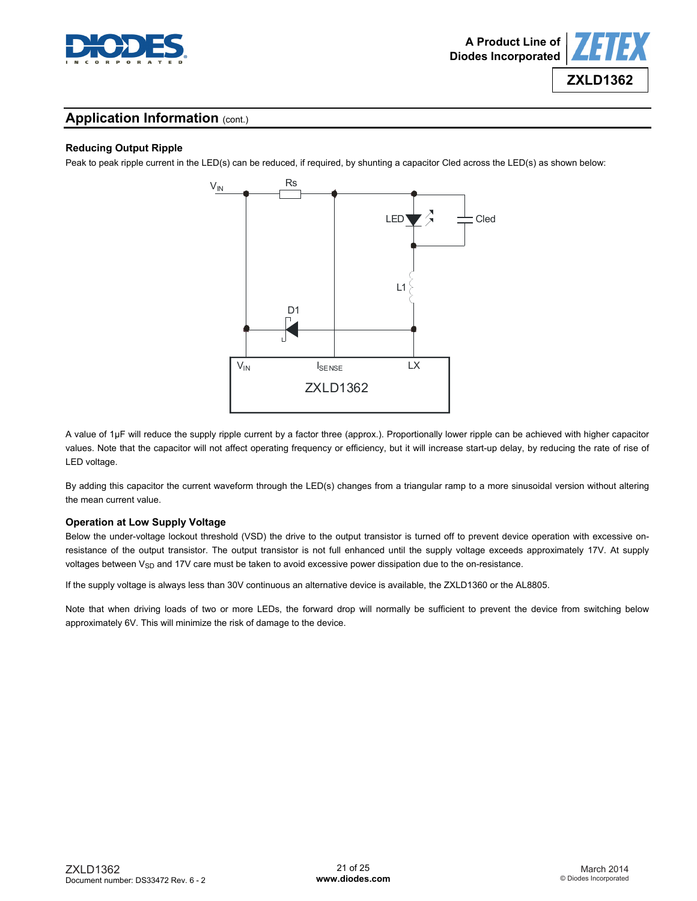

#### **Reducing Output Ripple**

Peak to peak ripple current in the LED(s) can be reduced, if required, by shunting a capacitor Cled across the LED(s) as shown below:



A value of 1μF will reduce the supply ripple current by a factor three (approx.). Proportionally lower ripple can be achieved with higher capacitor values. Note that the capacitor will not affect operating frequency or efficiency, but it will increase start-up delay, by reducing the rate of rise of LED voltage.

By adding this capacitor the current waveform through the LED(s) changes from a triangular ramp to a more sinusoidal version without altering the mean current value.

#### **Operation at Low Supply Voltage**

Below the under-voltage lockout threshold (VSD) the drive to the output transistor is turned off to prevent device operation with excessive onresistance of the output transistor. The output transistor is not full enhanced until the supply voltage exceeds approximately 17V. At supply voltages between V<sub>SD</sub> and 17V care must be taken to avoid excessive power dissipation due to the on-resistance.

If the supply voltage is always less than 30V continuous an alternative device is available, the ZXLD1360 or the AL8805.

Note that when driving loads of two or more LEDs, the forward drop will normally be sufficient to prevent the device from switching below approximately 6V. This will minimize the risk of damage to the device.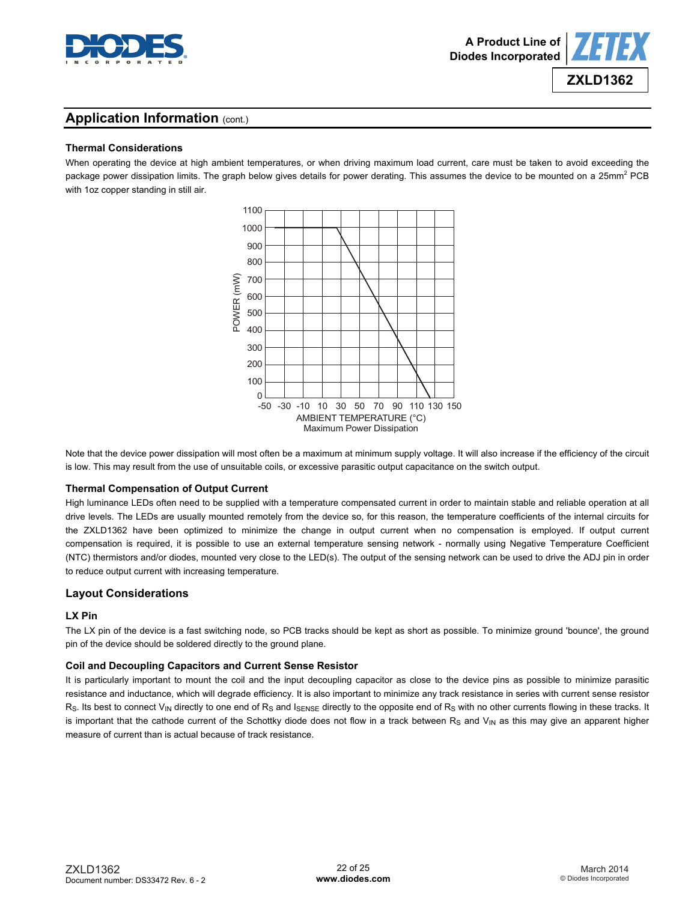

**ZXLD1362**

# **Application Information (cont.)**

## **Thermal Considerations**

When operating the device at high ambient temperatures, or when driving maximum load current, care must be taken to avoid exceeding the package power dissipation limits. The graph below gives details for power derating. This assumes the device to be mounted on a 25mm<sup>2</sup> PCB with 1oz copper standing in still air.



Note that the device power dissipation will most often be a maximum at minimum supply voltage. It will also increase if the efficiency of the circuit is low. This may result from the use of unsuitable coils, or excessive parasitic output capacitance on the switch output.

#### **Thermal Compensation of Output Current**

High luminance LEDs often need to be supplied with a temperature compensated current in order to maintain stable and reliable operation at all drive levels. The LEDs are usually mounted remotely from the device so, for this reason, the temperature coefficients of the internal circuits for the ZXLD1362 have been optimized to minimize the change in output current when no compensation is employed. If output current compensation is required, it is possible to use an external temperature sensing network - normally using Negative Temperature Coefficient (NTC) thermistors and/or diodes, mounted very close to the LED(s). The output of the sensing network can be used to drive the ADJ pin in order to reduce output current with increasing temperature.

#### **Layout Considerations**

#### **LX Pin**

The LX pin of the device is a fast switching node, so PCB tracks should be kept as short as possible. To minimize ground 'bounce', the ground pin of the device should be soldered directly to the ground plane.

#### **Coil and Decoupling Capacitors and Current Sense Resistor**

It is particularly important to mount the coil and the input decoupling capacitor as close to the device pins as possible to minimize parasitic resistance and inductance, which will degrade efficiency. It is also important to minimize any track resistance in series with current sense resistor  $R<sub>S</sub>$ . Its best to connect V<sub>IN</sub> directly to one end of R<sub>S</sub> and I<sub>SENSE</sub> directly to the opposite end of R<sub>S</sub> with no other currents flowing in these tracks. It is important that the cathode current of the Schottky diode does not flow in a track between  $R<sub>S</sub>$  and  $V<sub>IN</sub>$  as this may give an apparent higher measure of current than is actual because of track resistance.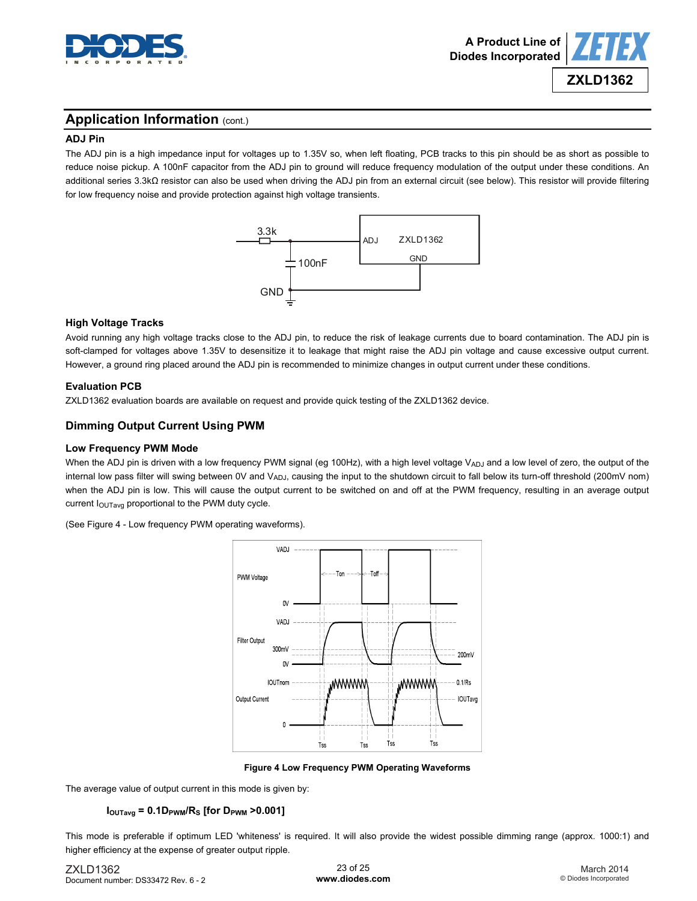



#### **ADJ Pin**

The ADJ pin is a high impedance input for voltages up to 1.35V so, when left floating, PCB tracks to this pin should be as short as possible to reduce noise pickup. A 100nF capacitor from the ADJ pin to ground will reduce frequency modulation of the output under these conditions. An additional series 3.3kΩ resistor can also be used when driving the ADJ pin from an external circuit (see below). This resistor will provide filtering for low frequency noise and provide protection against high voltage transients.



#### **High Voltage Tracks**

Avoid running any high voltage tracks close to the ADJ pin, to reduce the risk of leakage currents due to board contamination. The ADJ pin is soft-clamped for voltages above 1.35V to desensitize it to leakage that might raise the ADJ pin voltage and cause excessive output current. However, a ground ring placed around the ADJ pin is recommended to minimize changes in output current under these conditions.

#### **Evaluation PCB**

ZXLD1362 evaluation boards are available on request and provide quick testing of the ZXLD1362 device.

#### **Dimming Output Current Using PWM**

#### **Low Frequency PWM Mode**

When the ADJ pin is driven with a low frequency PWM signal (eg 100Hz), with a high level voltage V<sub>ADJ</sub> and a low level of zero, the output of the internal low pass filter will swing between 0V and VADJ, causing the input to the shutdown circuit to fall below its turn-off threshold (200mV nom) when the ADJ pin is low. This will cause the output current to be switched on and off at the PWM frequency, resulting in an average output current lou<sub>Tavg</sub> proportional to the PWM duty cycle.

(See Figure 4 - Low frequency PWM operating waveforms).



**Figure 4 Low Frequency PWM Operating Waveforms** 

The average value of output current in this mode is given by:

#### $I_{\text{OUTavg}} = 0.1D_{\text{PWM}}/R_{\text{S}}$  [for  $D_{\text{PWM}} > 0.001$ ]

This mode is preferable if optimum LED 'whiteness' is required. It will also provide the widest possible dimming range (approx. 1000:1) and higher efficiency at the expense of greater output ripple.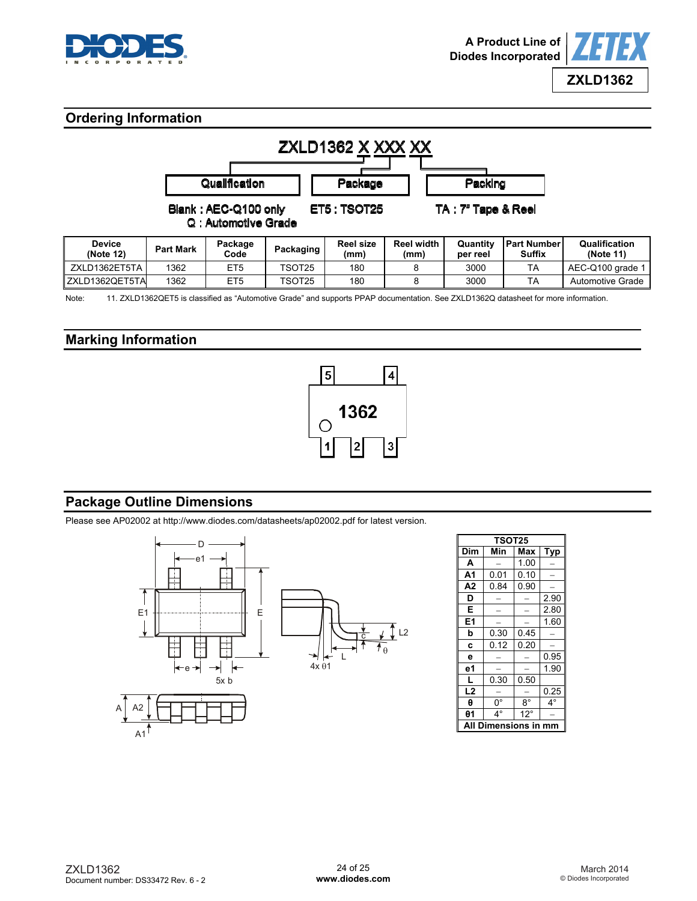



## **Ordering Information**

| ZXLD1362 X XXX XX          |                                                                                           |                 |           |                          |                           |                      |                                     |                            |
|----------------------------|-------------------------------------------------------------------------------------------|-----------------|-----------|--------------------------|---------------------------|----------------------|-------------------------------------|----------------------------|
|                            | Qualification<br>Packing<br>Package                                                       |                 |           |                          |                           |                      |                                     |                            |
|                            | <b>ET5: TSOT25</b><br>TA : 7" Tape & Reel<br>Blank: AEC-Q100 only<br>Q : Automotive Grade |                 |           |                          |                           |                      |                                     |                            |
| <b>Device</b><br>(Note 12) | <b>Part Mark</b>                                                                          | Package<br>Code | Packaging | <b>Reel size</b><br>(mm) | <b>Reel width</b><br>(mm) | Quantity<br>per reel | <b>Part Number</b><br><b>Suffix</b> | Qualification<br>(Note 11) |
| ZXLD1362ET5TA              | 1362                                                                                      | ET <sub>5</sub> | TSOT25    | 180                      | 8                         | 3000                 | <b>TA</b>                           | AEC-Q100 grade 1           |
| ZXLD1362QET5TA             | 1362                                                                                      | ET5             | TSOT25    | 180                      | 8                         | 3000                 | ТA                                  | Automotive Grade           |

Note: 11. ZXLD1362QET5 is classified as "Automotive Grade" and supports PPAP documentation. See ZXLD1362Q datasheet for more information.

## **Marking Information**



## **Package Outline Dimensions**

Please see AP02002 at [http://www.diodes.com/datasheets/ap02002.pdf fo](http://www.diodes.com/datasheets/ap02002.pdf)r latest version.



| <b>TSOT25</b>  |                          |              |           |  |  |  |  |  |  |
|----------------|--------------------------|--------------|-----------|--|--|--|--|--|--|
| Dim            | Min<br>Max<br><b>Typ</b> |              |           |  |  |  |  |  |  |
| A              |                          | 1.00         |           |  |  |  |  |  |  |
| A1             | 0.01                     | 0.10         |           |  |  |  |  |  |  |
| A <sub>2</sub> | 0.84                     | 0.90         |           |  |  |  |  |  |  |
| D              |                          |              | 2.90      |  |  |  |  |  |  |
| E              |                          |              | 2.80      |  |  |  |  |  |  |
| E <sub>1</sub> |                          |              | 1.60      |  |  |  |  |  |  |
| b              | 0.30                     | 0.45         |           |  |  |  |  |  |  |
| C              | 0.12                     | 0.20         |           |  |  |  |  |  |  |
| e              |                          |              | 0.95      |  |  |  |  |  |  |
| е1             |                          |              | 1.90      |  |  |  |  |  |  |
|                | 0.30                     | 0.50         |           |  |  |  |  |  |  |
| L <sub>2</sub> |                          |              | 0.25      |  |  |  |  |  |  |
| θ              | $0^{\circ}$              | $8^{\circ}$  | $4^\circ$ |  |  |  |  |  |  |
| $\theta$ 1     | $4^\circ$                | $12^{\circ}$ |           |  |  |  |  |  |  |
|                | ıensions i               |              |           |  |  |  |  |  |  |

 $A1$